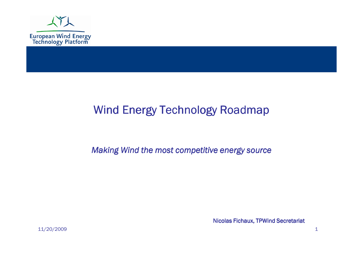

#### Wind Energy Technology Roadmap

Making Wind the most competitive energy source

Nicolas Fichaux, TPWind Secretariat

11/20/2009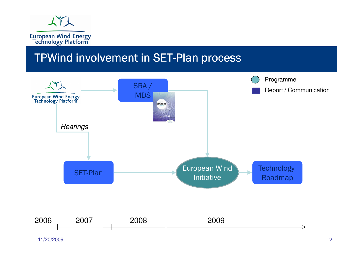

#### TPWind involvement in SET-Plan process

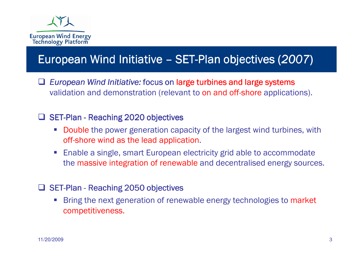

# European Wind Initiative – SET-Plan objectives (2007)<br>-

 $\Box$  European Wind Initiative: focus on large turbines and large systems validation and demonstration (relevant to on and off-shore applications).

#### SET-Plan - Reaching 2020 objectives <sup>2020</sup>

- - Double the power generation capacity of the largest wind turbines, with off-shore wind as the lead application.
- Enable a single, smart European electricity grid able to accommodate the massive integration of renewable and decentralised energy sources.

#### □ SET-Plan - Reaching 2050 objectives

 Bring the next generation of renewable energy technologies to market competitiveness.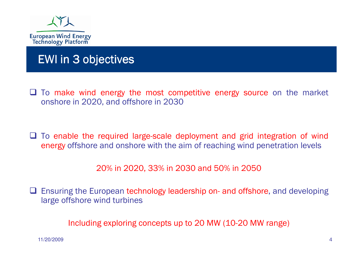

#### EWI in 3 objectives

 $\Box$  To make wind energy the most competitive energy source on the market onshore in 2020, and offshore in 2030 onshore in 2020, and offshore in <sup>2030</sup>

 $\Box$  To enable the required large-scale deployment and grid integration of wind energy offshore and onshore with the aim of reaching wind penetration levels energy offshore and onshore with the aim of reaching wind penetration levels

20% in 2020, 33% in 2030 and 50% in 2050

■ Ensuring the European technology leadership on- and offshore, and developing<br>large offshore wind turbines large offshore wind turbines

Including exploring concepts up to 20 MW (10-20 MW range)

11/20/2009 $\overline{4}$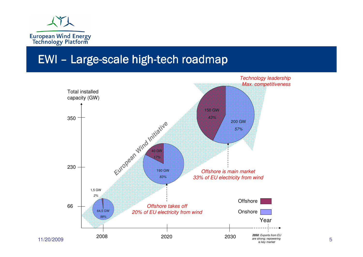

#### EWI - Large-scale high-tech roadmap

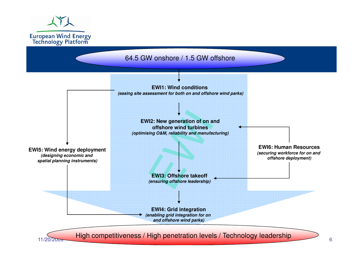

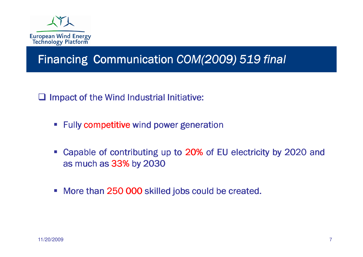

#### Financing Communication COM(2009) 519 final

 $\Box$  Impact of the Wind Industrial Initiative:

- **EXEC 12 Fully competitive wind power generation**
- -Capable of contributing up to 20% of EU electricity by 2020 and as much as 33% by 2030
- More than 250 000 skilled jobs could be created.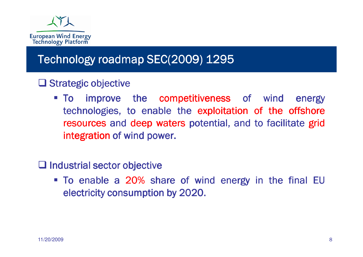

#### Technology roadmap SEC(2009) 1295

### **□ Strategic objective**

■ To improve the competitiveness of wind energy technologies, to enable the exploitation of the offshore resources and deep waters potential, and to facilitate grid i<mark>ntegration</mark> of wind power.

### Industrial sector objective

• To enable a 20% share of wind energy in the final EU<br>electricity consumption by 2020 electricity consumption electricity consumption by 2020.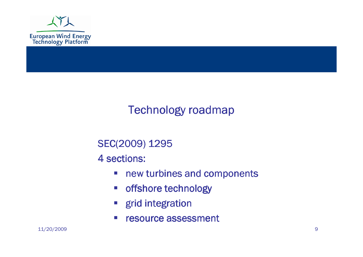

#### Technology roadmap

#### SEC(2009) 1295

4 sections:

- new turbines and components
- offshore technology
- grid integration
- resource assessment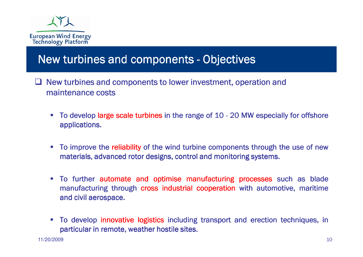

# New turbines and components - Objectives<br>-

- $\Box$  New turbines and components to lower investment, operation and maintenance easts maintenance costs
	- -To develop large scale turbines in the range of 10 - 20 MW especially for offshore applications.
	- -To improve the reliability of the wind turbine components through the use of new materials, advanced rotor designs, control and monitoring systems.
	- -To further automate and optimise manufacturing processes such as blade manufacturing through cross industrial cooperation with automotive, maritime and civil aerospace.
	- -To develop innovative logistics including transport and erection techniques, in particular in remote, weather hostile sites.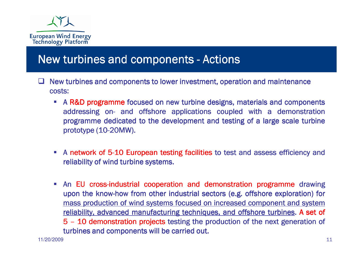

## New turbines and components - Actions<br>-

- $\Box$  New turbines and components to lower investment, operation and maintenance and the costs: costs:
	- A R&D programme focused on new turbine designs, materials and components<br>addressing on- and offshore annications coupled with a demonstration addressing on- and offshore applications coupled with a demonstration programme dedicated to the development and testing of a large scale turbine prototype (10-20MW).
	- A network of 5-10 European testing facilities to test and assess efficiency and<br>reliability of wind turbine systems reliability of wind turbine systems.
	- An EU cross-industrial cooperation and demonstration programme drawing<br>unon the know-how from other industrial sectors (e.g. offshore exploration) for upon the know-how from other industrial sectors (e.g. offshore exploration) for mass production of wind systems focused on increased component and system reliability, advanced manufacturing techniques, and offshore turbines. A set of 5 - 10 demonstration projects testing the production of the next generation of turbines and components will be carried out.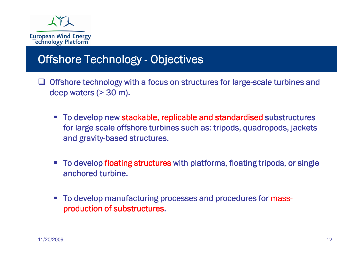

# Offshore Technology - Objectives

- Offshore technology with a focus on structures for large-scale turbines and<br>deep waters  $($   $>$  30 m) deep waters (> 30 m).
	- To develop new stackable, replicable and standardised substructures for large scale offshore turbines such as: tripods, quadropods, jackets and gravity-based structures.
	- To develop floating structures with platforms, floating tripods, or single anchored turbine.
	- To develop manufacturing processes and procedures for massproduction of substructures.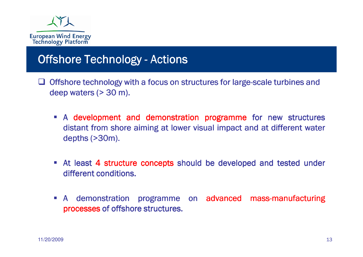

# Offshore Technology - Actions<br>

- Offshore technology with a focus on structures for large-scale turbines and<br>deep waters  $($   $>$  30 m) deep waters (> 30 m).
	- A development and demonstration programme for new structures<br>distant from shore aiming at lower visual impact and at different water distant from shore aiming at lower visual impact and at different water<br>denths (> 30m) depths (>30m).
	- I At least 4 structure concepts should be developed and tested under<br>different conditions different conditions.
	- A demonstration programme on advanced mass-manufacturing processes of offshore structures.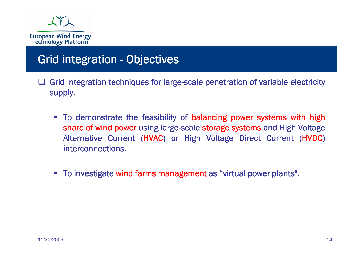

# Grid integration - Objectives<br>

- Grid integration techniques for large-scale penetration of variable electricity supply supply.
	- To demonstrate the feasibility of balancing power systems with high<br>share of wind power using large-scale storage systems and High Voltage share of wind power using large-scale storage systems and High Voltage Alternative Current (HVAC) or High Voltage Direct Current (HVDC) interconnections.
	- To investigate wind farms management as "virtual power plants".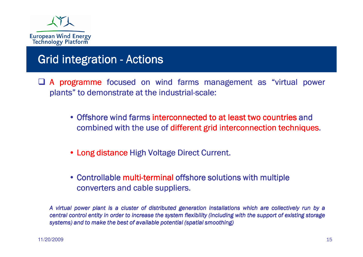

## Grid integration - Actions<br>

- $\Box$  A programme focused on wind farms management as "virtual power<br>"plants" to demonstrate at the industrial-scale: plants" to demonstrate at the industrial-scale:
	- Offshore wind farms interconnected to at least two countries and<br>Combined with the use of different grid interconnection technique combined with the use of <mark>different grid interconnection techniques</mark>.
	- Long distance High Voltage Direct Current.
	- Controllable multi-terminal offshore solutions with multiple converters and cable suppliers converters and cable suppliers.

A virtual power plant is a cluster of distributed generation installations which are collectively run by a central control entity in order to increase the system flexibility (including with the support of existing storage systems) and to make the best of available potential (spatial smoothing)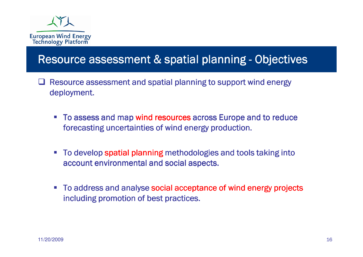

# Resource assessment & spatial planning - Objectives<br>

- $\Box$  Resource assessment and spatial planning to support wind energy deployment.
	- To assess and map wind resources across Europe and to reduce forecasting uncertainties of wind energy production.
	- To develop spatial planning methodologies and tools taking into account environmental and social aspects.
	- To address and analyse social acceptance of wind energy projects including promotion of best practices.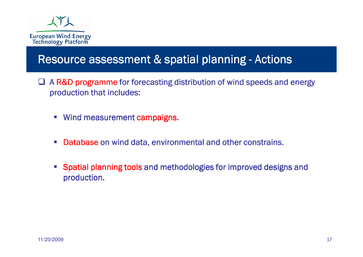

# Resource assessment & spatial planning - Actions<br>

- $\Box$  A R&D programme for forecasting distribution of wind speeds and energy production that includes: production that includes:
	- **EXECUTE: Wind measurement campaigns.**
	- -**Database on wind data, environmental and other constrains.**
	- - Spatial planning tools and methodologies for improved designs and production.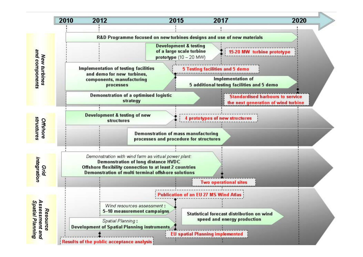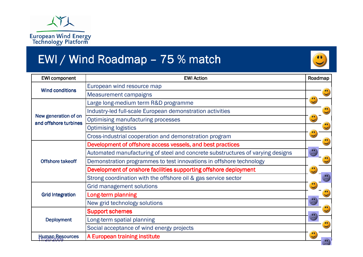

# EWI / Wind Roadmap – 75 % match<br>————————————————————



| <b>EWI component</b>                          | <b>EWI Action</b>                                                              | Roadmap |
|-----------------------------------------------|--------------------------------------------------------------------------------|---------|
| <b>Wind conditions</b>                        | European wind resource map                                                     |         |
|                                               | <b>Measurement campaigns</b>                                                   |         |
| New generation of on<br>and offshore turbines | Large long-medium term R&D programme                                           |         |
|                                               | Industry-led full-scale European demonstration activities                      |         |
|                                               | Optimising manufacturing processes                                             |         |
|                                               | <b>Optimising logistics</b>                                                    |         |
|                                               | Cross-industrial cooperation and demonstration program                         |         |
| <b>Offshore takeoff</b>                       | Development of offshore access vessels, and best practices                     |         |
|                                               | Automated manufacturing of steel and concrete substructures of varying designs |         |
|                                               | Demonstration programmes to test innovations in offshore technology            |         |
|                                               | Development of onshore facilities supporting offshore deployment               |         |
|                                               | Strong coordination with the offshore oil & gas service sector                 |         |
| <b>Grid Integration</b>                       | <b>Grid management solutions</b>                                               |         |
|                                               | Long-term planning                                                             |         |
|                                               | New grid technology solutions                                                  |         |
| <b>Deployment</b>                             | <b>Support schemes</b>                                                         |         |
|                                               | Long-term spatial planning                                                     |         |
|                                               | Social acceptance of wind energy projects                                      |         |
| Resources                                     | A European training institute                                                  |         |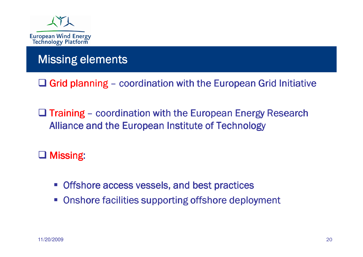

#### Missing elements

 $\Box$  Grid planning – coordination with the European Grid Initiative

 $\Box$  Training – coordination with the European Energy Research – Alliance and the European Institute of Technology Alliance and the European Institute of Technology

□ Missing:

- **Offshore access vessels, and best practices**
- **Onshore facilities supporting offshore deployment**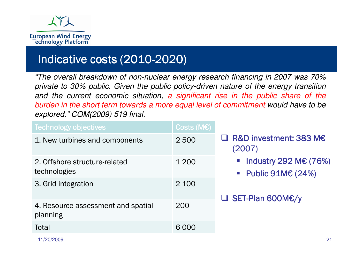

#### Indicative costs (2010-2020)

"The overall breakdown of non-nuclear energy research financing in <sup>2007</sup> was 70% private to 30% public. Given the public policy-driven nature of the energy transition and the current economic situation, <sup>a</sup> significant rise in the public share of the burden in the short term towards <sup>a</sup> more equal level of commitment would have to beexplored." COM(2009) 519 final.

| <b>Technology objectives</b>                   | Costs (M $\epsilon$ ) |                                                 |  |
|------------------------------------------------|-----------------------|-------------------------------------------------|--|
| 1. New turbines and components                 | 2500                  | $\Box$ R&D investment: 383 M€<br>(2007)         |  |
| 2. Offshore structure-related<br>technologies  | 1 200                 | ■ Industry 292 M€ (76%)<br>■ Public $91M€(24%)$ |  |
| 3. Grid integration                            | 2 100                 | $\Box$ SET-Plan 600M $\varepsilon$ /y           |  |
| 4. Resource assessment and spatial<br>planning | 200                   |                                                 |  |
| Total                                          | 6 0 0 0               |                                                 |  |
|                                                |                       |                                                 |  |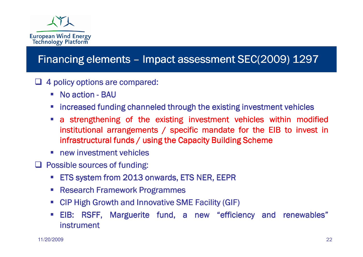

### Financing elements – Impact assessment SEC(2009) 1297

- $\Box$  4 policy options are compared:
	- No action BAU<br>- Siesuseseel fundi
	- $\mathcal{L}_{\mathcal{A}}$ increased funding channeled through the existing investment vehicles
	- a strengthening of the existing investment vehicles within modified institutional arrangements / specific mandate for the EIB to invest in infrastructural funds / using the Capacity Building Scheme
	- new investment vehicles
- □ Possible sources of funding:
	- $\mathcal{L}_{\mathcal{A}}$ ETS system from 2013 onwards, ETS NER, EEPR
	- -**Research Framework Programmes**
	- $\mathcal{L}_{\mathcal{A}}$ CIP High Growth and Innovative SME Facility (GIF)
	- $\mathbb{R}^2$ EIB: RSFF, Marguerite fund, a new "efficiency and renewables" instrument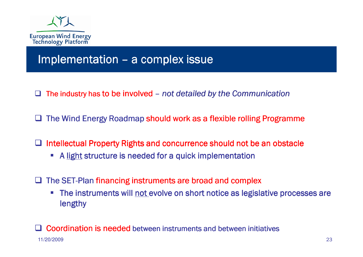

### Implementation – a complex issue

- $\Box$ The industry has to be involved – not detailed by the Communication
- $\Box$  The Wind Energy Roadmap should work as a flexible rolling Programme
- **□** Intellectual Property Rights and concurrence should not be an obstacle
	- -A light structure is needed for a quick implementation
- $\Box$  The SET-Plan financing instruments are broad and complex
	- -The instruments will not evolve on short notice as legislative processes are lengthy

11/20/2009 <sup>23</sup> $\Box$ Coordination is needed between instruments and between initiatives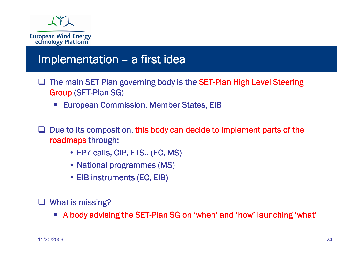

### Implementation – a first idea

- $\Box$  The main SET Plan governing body is the SET-Plan High Level Steering Group (SET Plan SG)  $\,$ Group (SET-Plan SG)
	- -European Commission, Member States, EIB

 $\Box$  Due to its composition, this body can decide to implement parts of the roadmaps through:

- FP7 calls, CIP, ETS.. (EC, MS)<br>. Netional pregrammes (MS)
- National programmes (MS)<br>。FIB instruments (FO, FIB)
- EIB instruments (EC, EIB)  $\,$

□ What is missing?

• A body advising the SET-Plan SG on 'when' and 'how' launching 'what'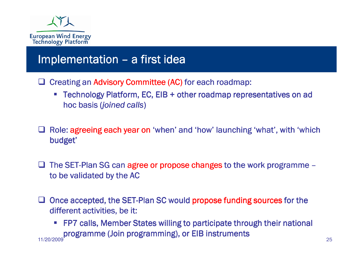

### Implementation – a first idea

- □ Creating an Advisory Committee (AC) for each roadmap:
	- Technology Platform, EC, EIB + other roadmap representatives on ad hoc basis (joined calls)
- $\Box$  Role: agreeing each year on 'when' and 'how' launching 'what', with 'which budget' budget'
- $\Box$ The SET-Plan SG can agree or propose changes to the work programme – to be validated by the AC
- $\Box$  Once accepted, the SET-Plan SC would propose funding sources for the different activities, be it: different activities, be it:
- FP7 calls, Member States willing to participate through their national programme (Join programming), or EIB instruments 11/20/2009 $9^{1}$  25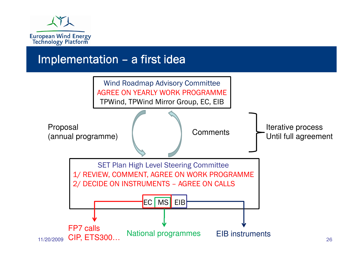

## Implementation – a first idea

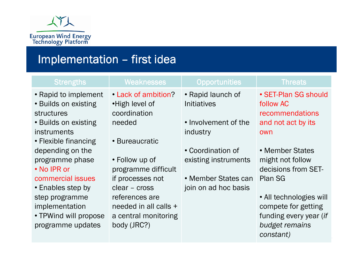

### Implementation – first idea

| • Rapid to implement<br>• Lack of ambition?<br>• Rapid launch of<br>• Builds on existing<br>•High level of<br><i>Initiatives</i>                                                                                                                                                                                                                                                                                                                                                                                                                                                                               | • SET-Plan SG should<br>follow AC                                                                                                                                                                                                       |
|----------------------------------------------------------------------------------------------------------------------------------------------------------------------------------------------------------------------------------------------------------------------------------------------------------------------------------------------------------------------------------------------------------------------------------------------------------------------------------------------------------------------------------------------------------------------------------------------------------------|-----------------------------------------------------------------------------------------------------------------------------------------------------------------------------------------------------------------------------------------|
| coordination<br><b>structures</b><br>• Involvement of the<br>• Builds on existing<br>needed<br>instruments<br>industry<br>• Bureaucratic<br>• Flexible financing<br>depending on the<br>• Coordination of<br>programme phase<br>• Follow up of<br>existing instruments<br>• No IPR or<br>programme difficult<br>commercial issues<br>if processes not<br>• Member States can<br>join on ad hoc basis<br>• Enables step by<br>clear - cross<br>step programme<br>references are<br>implementation<br>needed in all calls +<br>• TPWind will propose<br>a central monitoring<br>body (JRC?)<br>programme updates | recommendations<br>and not act by its<br>own<br>• Member States<br>might not follow<br>decisions from SET-<br><b>Plan SG</b><br>• All technologies will<br>compete for getting<br>funding every year (if<br>budget remains<br>constant) |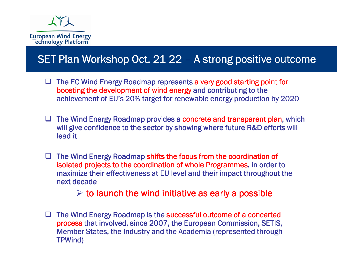

### SET-Plan Workshop Oct. 21-22 – A strong positive outcome

- $\Box$  The EC Wind Energy Roadmap represents a very good starting point for hoosting the development of wind energy and contributing to the boosting the development of wind energy and contributing to the achievement of EU's 20% target for renewable energy production by 2020
- $\Box$  The Wind Energy Roadmap provides a concrete and transparent plan, which will give confidence to the sector by showing where future R&D efforts will will give confidence to the sector by showing where future R&D efforts will lead it
- The Wind Energy Roadmap shifts the focus from the coordination of isolated projects to the coordination of whole Programmes in order in isolated projects to the coordination of whole Programmes, in order to maximize their effectiveness at EU level and their impact throughout the next decade

 $\triangleright$  to launch the wind initiative as early a possible

The Wind Energy Roadmap is the successful outcome of a concerted<br>nropes that involved since 2007, the European Commission SETIS process that involved, since 2007, the European Commission, SETIS, Member States, the Industry and the Academia (represented through TPWind)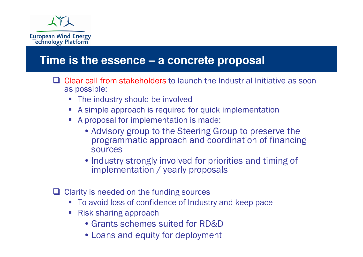

#### **Time is the essence – a concrete proposal**

- $\Box$  Clear call from stakeholders to launch the Industrial Initiative as soon as possible: as possible:
	- The industry should be involved
	- A simple approach is required for quick implementation -
	- A proposal for implementation is made:
		- Advisory group to the Steering Group to preserve the programmatic approach and coordination of financing sources
		- Industry strongly involved for priorities and timing of implementation / yearly proposals implementation / yearly proposals
- Clarity is needed on the funding sources
	- To avoid loss of confidence of Industry and keep pace
	- Risk sharing approach
		- Grants schemes suited for RD&D
		- Loans and equity for deployment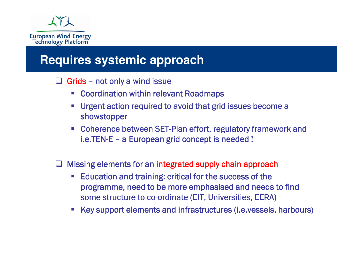

#### **Requires systemic approach**

- $\Box$  Grids not only a wind issue
	- **Example 2 Coordination within relevant Roadmaps**
	- - Urgent action required to avoid that grid issues become a showstopper
	- $\mathcal{L}_{\mathcal{A}}$  Coherence between SET-Plan effort, regulatory framework and i.e.TEN-E – a European grid concept is needed !
- $\Box$  Missing elements for an integrated supply chain approach
	- $\mathcal{L}_{\mathcal{A}}$  Education and training: critical for the success of the programme, need to be more emphasised and needs to find some structure to co-ordinate (EIT, Universities, EERA)
	- $\mathcal{L}_{\mathcal{A}}$ Key support elements and infrastructures (i.e.vessels, harbours)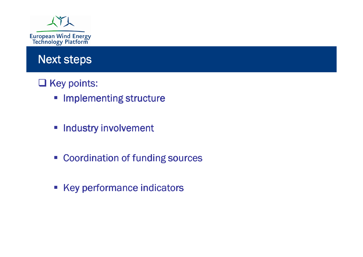

#### Next steps

- $\Box$  Key points:
	- **EXPLOREMATE IMPLEMENT FOR THE STATE**
	- **EXECUTE: Industry involvement**
	- **Example 2** Coordination of funding sources
	- **EXECT Key performance indicators**